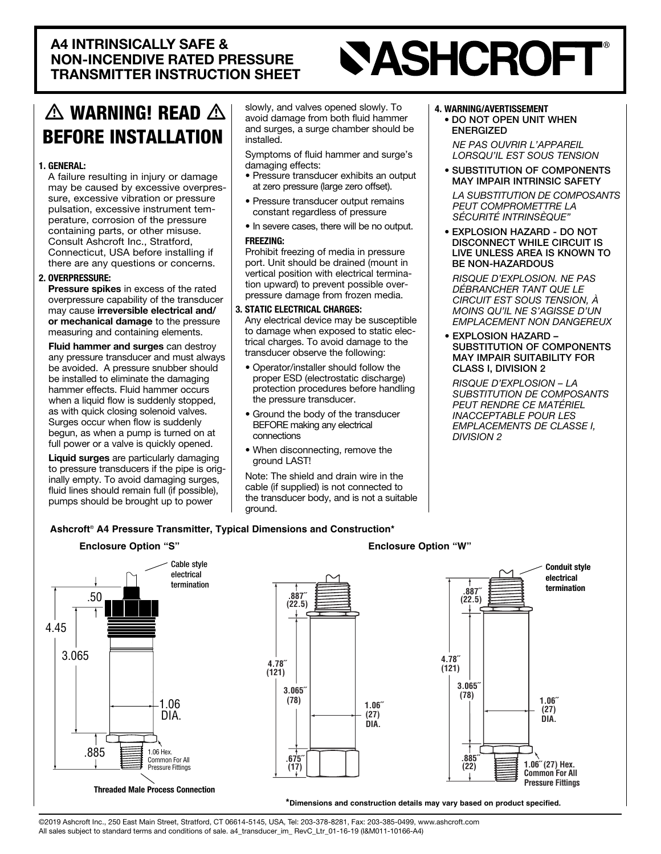# **SASHCROFT®**

## $\triangle$  WARNING! READ  $\triangle$ **BEFORE INSTALLATION**

#### 1. GENERAL:

A failure resulting in injury or damage sure, excessive vibration or pressure may be caused by excessive overprespulsation, excessive instrument tem-<br>perature, corrosion of the pressure containing parts, or other misuse. Consult Ashcroft Inc., Stratford, Connecticut, USA before installing if there are any questions or concerns.

#### 2. OVERPRESSURE:

Pressure spikes in excess of the rated overpressure capability of the transducer may cause irreversible electrical and/ or mechanical damage to the pressure measuring and containing elements.

Fluid hammer and surges can destroy **riuid nammer and surges** can destroy<br>any pressure transducer and must always be avoided. A pressure snubber should be installed to eliminate the damaging hammer effects. Fluid hammer occurs when a liquid flow is suddenly stopped, as with quick closing solenoid valves. as with quick closing solehold valves<br>Surges occur when flow is suddenly begun, as when a pump is turned on at full power or a valve is quickly opened.

Liquid surges are particularly damaging<br>to pressure transducers if the pine is arise inally empty. To avoid damaging surges, to pressure transducers if the pipe is originally empty. To qualid demoning quighed fluid lines should remain full (if possible), pumps should be brought up to power

slowly, and valves opened slowly. To avoid damage from both fluid hammer and surges, a surge chamber should be .installed

Symptoms of fluid hammer and surge's damaging effects:

- Pressure transducer exhibits an output at zero pressure (large zero offset).
- Pressure transducer output remains constant regardless of pressure
- . In severe cases, there will be no output. :FREEZING

Prohibit freezing of media in pressure port. Unit should be drained (mount in pressure damage from frozen media. tion upward) to prevent possible oververtical position with electrical termina-

#### 3. STATIC ELECTRICAL CHARGES:

Any electrical device may be susceptible to damage when exposed to static elec-<br>trical charges. To avoid damage to the transducer observe the following:

- Operator/installer should follow the proper ESD (electrostatic discharge) protection procedures before handling the pressure transducer.
- Ground the body of the transducer BEFORE making any electrical connections
- When disconnecting, remove the ground LAST!

Note: The shield and drain wire in the cable (if supplied) is not connected to the transducer body, and is not a suitable ground.

#### 4. WARNING/AVERTISSEMENT

• DO NOT OPEN UNIT WHEN ENERGIZED

**NE PAS OUVRIR L'APPAREIL LORSQU'IL EST SOUS TENSION** 

• SUBSTITUTION OF COMPONENTS **MAY IMPAIR INTRINSIC SAFETY LA SUBSTITUTION DE COMPOSANTS** 

**PEUT COMPROMETTRE LA** *"INTRINSÈQUE SÉCURITÉ*

• EXPLOSION HAZARD - DO NOT DISCONNECT WHILE CIRCUIT IS LIVE UNLESS AREA IS KNOWN TO **BE NON-HAZARDOUS** 

*RISQUE D'EXPLOSION. NE PAS* **DÉBRANCHER TANT QUE LE** *CIRCUIT EST SOUS TENSION. À MOINS OU'll NF S'AGISSE D'UN* **EMPLACEMENT NON DANGEREUX** 

• EXPLOSION HAZARD -SUBSTITUTION OF COMPONENTS **MAY IMPAIR SUITABILITY FOR** CLASS I, DIVISION 2

**RISQUE D'EXPLOSION - LA** *SUBSTITUTION DE COMPOSANTS PEUT RENDRE CE MATÉRIEL* **INACCEPTABLE POUR LES** *EMPLACEMENTS DE CLASSE I, 2 DIVISION*

> **Conduit style**  electrical termination

**˝1.06 .DIA (27)**

## Ashcroft<sup>®</sup> A4 Pressure Transmitter, Typical Dimensions and Construction<sup>\*</sup>





\*Dimensions and construction details may vary based on product specified.

@2019 Ashcroft Inc., 250 East Main Street, Stratford, CT 06614-5145, USA, Tel: 203-378-8281, Fax: 203-385-0499, www.ashcroft.com All sales subject to standard terms and conditions of sale. a4\_transducer\_im\_RevC\_Ltr\_01-16-19 (I&M011-10166-A4)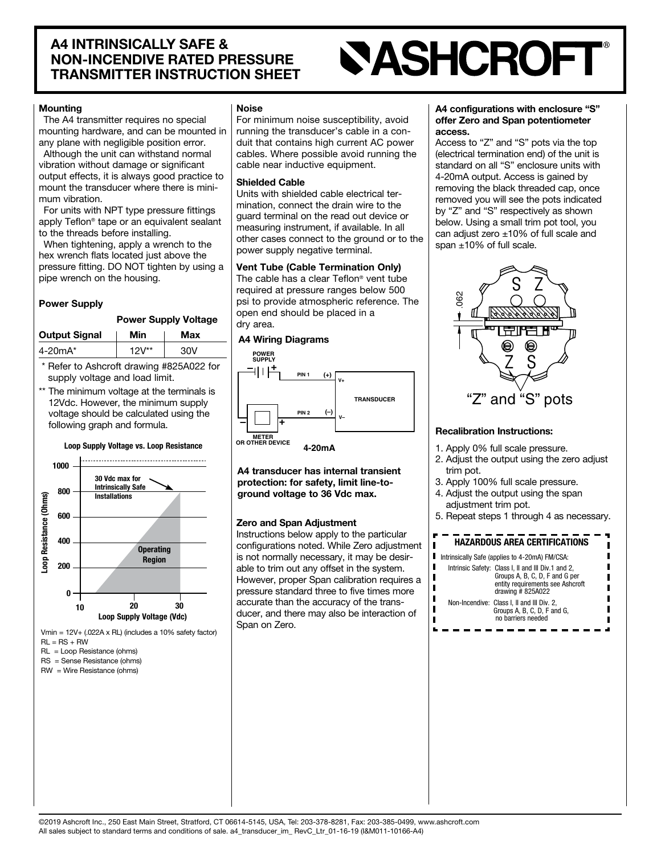## **SASHCROFT®**

#### **Mounting**

The A4 transmitter requires no special mounting hardware, and can be mounted in any plane with negligible position error. Although the unit can withstand normal

vibration without damage or significant output effects, it is always good practice to mount the transducer where there is mini-<br>mum vibration.

For units with NPT type pressure fittings apply Teflon<sup>®</sup> tape or an equivalent sealant to the threads before installing.

When tightening, apply a wrench to the hex wrench flats located just above the pressure fitting. DO NOT tighten by using a pipe wrench on the housing.

#### **Power Supply**

#### Power Supply Voltage

| <b>Output Signal</b> | Min        | Max |
|----------------------|------------|-----|
| $4 - 20mA^*$         | $12V^{**}$ | 30V |

- \* Refer to Ashcroft drawing #825A022 for supply voltage and load limit.
- \*\* The minimum voltage at the terminals is 12Vdc. However, the minimum supply voltage should be calculated using the following graph and formula.

#### Loop Supply Voltage vs. Loop Resistance



Vmin =  $12V+$  (.022A x RL) (includes a 10% safety factor)  $RI = RS + RW$ 

- $RL = Loop Resistance (ohms)$
- $RS =$  Sense Resistance (ohms)
- $RW = Wire Resistance (ohms)$

#### Noise

For minimum noise susceptibility, avoid duit that contains high current AC power running the transducer's cable in a concables. Where possible avoid running the cable near inductive equipment.

#### **Shielded Cable**

mination, connect the drain wire to the Units with shielded cable electrical terguard terminal on the read out device or measuring instrument, if available. In all other cases connect to the ground or to the power supply negative terminal.

#### Vent Tube (Cable Termination Only)

The cable has a clear Teflon<sup>®</sup> vent tube required at pressure ranges below 500 psi to provide atmospheric reference. The open end should be placed in a dry area.



A4 transducer has internal transient protection: for safety, limit line-to-<br>ground voltage to 36 Vdc max.

#### Zero and Span Adjustment

Instructions below apply to the particular configurations noted. While Zero adjustment is not normally necessary, it may be desir-<br>able to trim out any offset in the system. However, proper Span calibration requires a pressure standard three to five times more ducer, and there may also be interaction of accurate than the accuracy of the trans-Span on Zero.

#### A4 configurations with enclosure "S" offer Zero and Span potentiometer .access

Access to "Z" and "S" pots via the top (electrical termination end) of the unit is standard on all "S" enclosure units with 4-20mA output. Access is gained by removing the black threaded cap, once removed you will see the pots indicated by "Z" and "S" respectively as shown below. Using a small trim pot tool, you can adjust zero  $±10%$  of full scale and span  $\pm 10\%$  of full scale.



#### Recalibration Instructions:

- 1. Apply 0% full scale pressure.
- 2. Adjust the output using the zero adjust trim pot.
- 3. Apply 100% full scale pressure.
- 4. Adjust the output using the span adjustment trim pot.
- 5. Repeat steps 1 through 4 as necessary.

#### HAZARDOUS AREA CERTIFICATIONS

|  | Intrinsically Safe (applies to 4-20mA) FM/CSA: |
|--|------------------------------------------------|
|--|------------------------------------------------|

 $\blacksquare$ 

п

|  | Intrinsic Safety: Class I, II and III Div.1 and 2,<br>Groups A, B, C, D, F and G per<br>entity requirements see Ashcroft<br>drawing $#825A022$ |  |
|--|------------------------------------------------------------------------------------------------------------------------------------------------|--|
|  | Non-Incendive: Class I. II and III Div. 2.<br>Groups A, B, C, D, F and G,<br>no barriers needed                                                |  |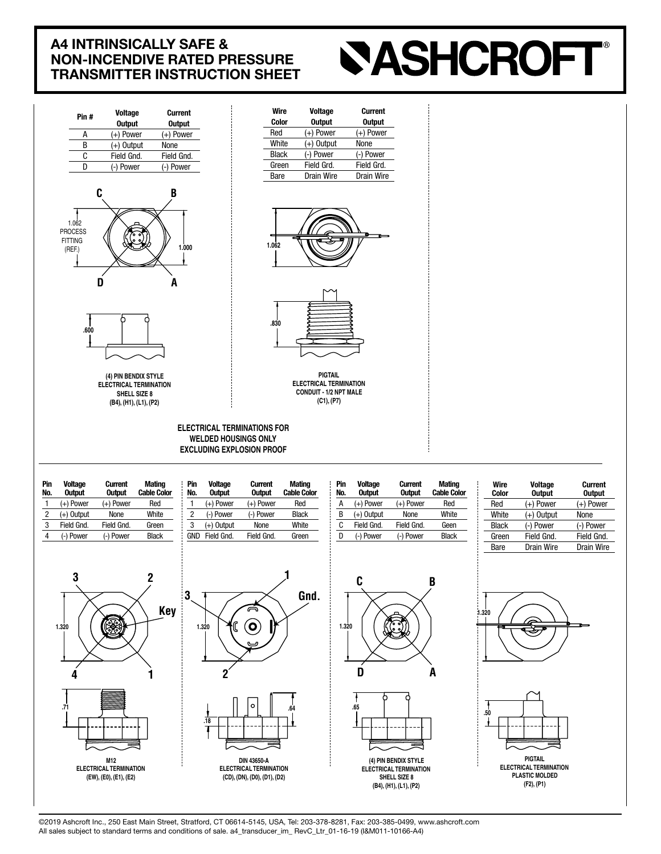## **SASHCROFT®**



@2019 Ashcroft Inc., 250 East Main Street, Stratford, CT 06614-5145, USA, Tel: 203-378-8281, Fax: 203-385-0499, www.ashcroft.com All sales subject to standard terms and conditions of sale. a4\_transducer\_im\_RevC\_Ltr\_01-16-19 (I&M011-10166-A4)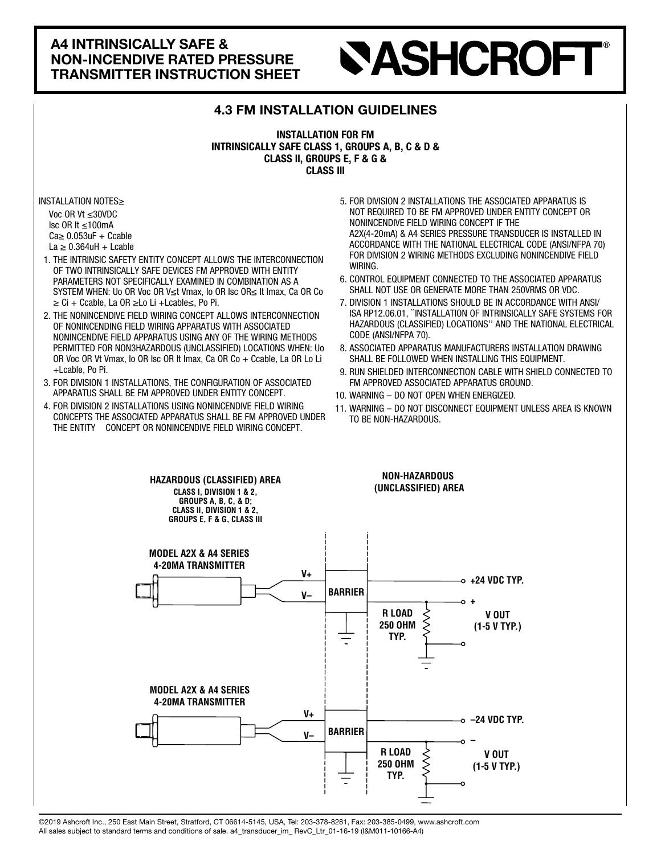## **SASHCROFT®**

### **4.3 FM INSTALLATION GUIDELINES**

#### **INSTALLATION FOR FM** INTRINSICALLY SAFE CLASS 1, GROUPS A, B, C & D & CLASS II, GROUPS E, F & G & **CLASS III**

INSTALLATION NOTES≥

Voc OR V $t$  < 30 VDC  $\text{lsc }$  OR It  $\leq$ 100 mA  $Ca \geq 0.053$ uF + Ccable La  $\geq$  0.364 uH + Lcable

- 1. THE INTRINSIC SAFETY ENTITY CONCEPT ALLOWS THE INTERCONNECTION OF TWO INTRINSICALLY SAFE DEVICES FM APPROVED WITH ENTITY PARAMETERS NOT SPECIFICALLY EXAMINED IN COMBINATION AS A SYSTEM WHEN: Uo OR Voc OR V≤t Vmax, Io OR Isc OR≤ It Imax, Ca OR Co ≥ Ci + Ccable, La OR ≥Lo Li + Lcable ≤, Po Pi.
- 2. THE NONINCENDIVE FIELD WIRING CONCEPT ALLOWS INTERCONNECTION OF NONINCENDING FIELD WIRING APPARATUS WITH ASSOCIATED NONINCENDIVE FIELD APPARATUS USING ANY OF THE WIRING METHODS PERMITTED FOR NON3HAZARDOUS (UNCLASSIFIED) LOCATIONS WHEN: Uo OR Voc OR Vt Vmax, Io OR Isc OR It Imax, Ca OR Co  $+$  Ccable, La OR Lo Li +Lcable, Po Pi.
- 3. FOR DIVISION 1 INSTALLATIONS. THE CONFIGURATION OF ASSOCIATED APPARATUS SHALL BE FM APPROVED UNDER ENTITY CONCEPT.
- 4. FOR DIVISION 2 INSTALLATIONS USING NONINCENDIVE FIELD WIRING CONCEPTS THE ASSOCIATED APPARATUS SHALL BE FM APPROVED UNDER THE ENTITY CONCEPT OR NONINCENDIVE FIELD WIRING CONCEPT.
- 5. FOR DIVISION 2 INSTALLATIONS THE ASSOCIATED APPARATUS IS NOT REQUIRED TO BE FM APPROVED UNDER ENTITY CONCEPT OR NONINCENDIVE FIELD WIRING CONCEPT IF THE A2X(4-20mA) & A4 SERIES PRESSURE TRANSDUCER IS INSTALLED IN ACCORDANCE WITH THE NATIONAL ELECTRICAL CODE (ANSI/NFPA 70) FOR DIVISION 2 WIRING METHODS EXCLUDING NONINCENDIVE FIELD .WIRING
- 6. CONTROL EQUIPMENT CONNECTED TO THE ASSOCIATED APPARATUS SHALL NOT USE OR GENERATE MORE THAN 250VRMS OR VDC.
- 7. DIVISION 1 INSTALLATIONS SHOULD BE IN ACCORDANCE WITH ANSI/ ISA RP12.06.01, "INSTALLATION OF INTRINSICALLY SAFE SYSTEMS FOR HAZARDOUS (CLASSIFIED) LOCATIONS" AND THE NATIONAL ELECTRICAL CODE (ANSI/NFPA 70).
- 8. ASSOCIATED APPARATUS MANUFACTURERS INSTALLATION DRAWING SHALL BE FOLLOWED WHEN INSTALLING THIS EQUIPMENT.
- 9. RUN SHIELDED INTERCONNECTION CABLE WITH SHIELD CONNECTED TO FM APPROVED ASSOCIATED APPARATUS GROUND.
- 10. WARNING DO NOT OPEN WHEN ENERGIZED.
- **10. WARNING DO NOT OF EN WHEN ENERGIZED.**<br>11. WARNING DO NOT DISCONNECT EQUIPMENT UNLESS AREA IS KNOWN wanning – DO NOT Disconne<br>TO BE NON-HAZARDOUS.

**& D & C ,B ,A GROUPS 1, CLASS SAFE INTRINSICALLY**

- INTRIN TWO OF INTERCONNECTION THE ALLOWS CONCEPT ENTITY SAFETY INTRINSIC THE 1. SPECIFICALLY NOT PARAMETERS ENTITY WITH APPROVED FM DEVICES SAFE SICALLY ≥OR Isc OR Io ,Vmax t≤V OR Voc OR Uo :WHEN SYSTEM A AS COMBINATION IN EXAMINED

**& D & C ,B ,A GROUPS 1, CLASS SAFE INTRINSICALLY**

 APPARATUS FIELD NONINCENDIVE ASSOCIATED WITH APPARATUS WIRING FIELD ING-NONINCEND OF INTERCONNECTION ALLOWS CONCEPT WIRING FIELD NONINCENDIVE THE 2. (UNCLASSIFIED (HAZARDOUS3NON FOR PERMITTED METHODS WIRING THE OF ANY USING OR La ,Ccable + Co OR Ca ,Imax It OR Isc OR Io ,Vmax Vt OR Voc OR Uo :WHEN LOCATIONS

SHALL APPARATUS ASSOCIATED OF CONFIGURATION THE ,INSTALLATIONS 1 DIVISION FOR 3.

 APPARATUS FIELD NONINCENDIVE ASSOCIATED WITH APPARATUS WIRING FIELD ING-NONINCEND OF INTERCONNECTION ALLOWS CONCEPT WIRING FIELD NONINCENDIVE THE 2. (UNCLASSIFIED (HAZARDOUS3NON FOR PERMITTED METHODS WIRING THE OF ANY USING OR La ,Ccable + Co OR Ca ,Imax It OR Isc OR Io ,Vmax Vt OR Voc OR Uo :WHEN LOCATIONS

- INTRIN TWO OF INTERCONNECTION THE ALLOWS CONCEPT ENTITY SAFETY INTRINSIC THE 1. SPECIFICALLY NOT PARAMETERS ENTITY WITH APPROVED FM DEVICES SAFE SICALLY ≥OR Isc OR Io ,Vmax t≤V OR Voc OR Uo :WHEN SYSTEM A AS COMBINATION IN EXAMINED

 THE CONCEPTS WIRING FIELD NONINCENDIVE USING INSTALLATIONS 2 DIVISION FOR 4. OR CONCEPT ENTITY THE UNDER APPROVED FM BE SHALL APPARATUS ASSOCIATED

FM BE TO REQUIRED NOT IS APPARATUS ASSOCIATED THE INSTALLATIONS 2 DIVISION FOR 5. THE IF CONCEPT WIRING FIELD NONINCENDIVE OR CONCEPT ENTITY UNDER APPROVED NATIONAL THE WITH ACCORDANCE IN INSTALLED IS TRANSDUCER PRESSURE SERIES 2A EXCLUDING METHODS WIRING 2 DIVISION FOR) 70 NFPA/ANSI (CODE ELECTRICAL

SHALL APPARATUS ASSOCIATED OF CONFIGURATION THE ,INSTALLATIONS 1 DIVISION FOR 3.

OR USE NOT SHALL APPARATUS ASSOCIATED THE TO CONNECTED EQUIPMENT CONTROL 6.

FM BE TO REQUIRED NOT IS APPARATUS ASSOCIATED THE INSTALLATIONS 2 DIVISION FOR 5. THE IF CONCEPT WIRING FIELD NONINCENDIVE OR CONCEPT ENTITY UNDER APPROVED NATIONAL THE WITH ACCORDANCE IN INSTALLED IS TRANSDUCER PRESSURE SERIES 2A EXCLUDING METHODS WIRING 2 DIVISION FOR) 70 NFPA/ANSI (CODE ELECTRICAL

 THE CONCEPTS WIRING FIELD NONINCENDIVE USING INSTALLATIONS 2 DIVISION FOR 4. OR CONCEPT ENTITY THE UNDER APPROVED FM BE SHALL APPARATUS ASSOCIATED

FOLLOWED BE SHALL DRAWING INSTALLATION MANUFACTURERS APPARATUS ASSOCIATED 8.

OR USE NOT SHALL APPARATUS ASSOCIATED THE TO CONNECTED EQUIPMENT CONTROL 6.

12.06.01,RP ISA/ANSI WITH ACCORDANCE IN BE SHOULD INSTALLATIONS 1 DIVISION 7. (CLASSIFIED (HAZARDOUS FOR SYSTEMS SAFE INTRINSICALLY OF INSTALLATION"

.(70 NFPA/ANSI (CODE ELECTRICAL NATIONAL THE AND" LOCATIONS

.Pi Po ,≤Lcable+ Li Lo ≥OR La ,imax Italiano + Ci ≥ Co OR Cable + Co OR Cable + Ci ≥ Co OR Cable + Ci ≥ Co OR C

.Pi Po ,≤Lcable+ Li Lo ≥OR La ,Ccable + Ci ≥ Co OR Ca ,Imax It

.CONCEPT ENTITY UNDER APPROVED FM BE

.CONCEPT WIRING FIELD NONINCENDIVE

.VDC OR VRMS250 THAN MORE GENERATE

.CONCEPT WIRING FIELD NONINCENDIVE

.CONCEPT ENTITY UNDER APPROVED FM BE

.EQUIPMENT THIS INSTALLING WHEN

.WIRING FIELD NONINCENDIVE

.WIRING FIELD NONINCENDIVE

**:NOTES INSTALLATION**

College + uF0.053≥ Lcable + uH0.364 ≥ La

**:NOTES INSTALLATION**

College + uF0.053≥ Lcable + uH0.364 ≥ La

.Pi Po ,Lcable+ Li Lo

.Pi Po ,Lcable+ Li Lo



e<br>C2019 Ashcroft Inc., 250 East Main Street, Stratford, CT 06614-5145, USA, Tel: 203-378-8281, Fax: 203-385-0499, www.ashcroft.com@ LOC TO ASHOON HOL, 200 LUST MULTI ONCO, ONLINDI, OT 00014 0140, OOA, ICI. 200 010 0201, ITA. 200 000 0400, WHO<br>All sales subject to standard terms and conditions of sale. a4\_transducer\_im\_RevC\_Ltr\_01-16-19 (I&M011-10166-A4